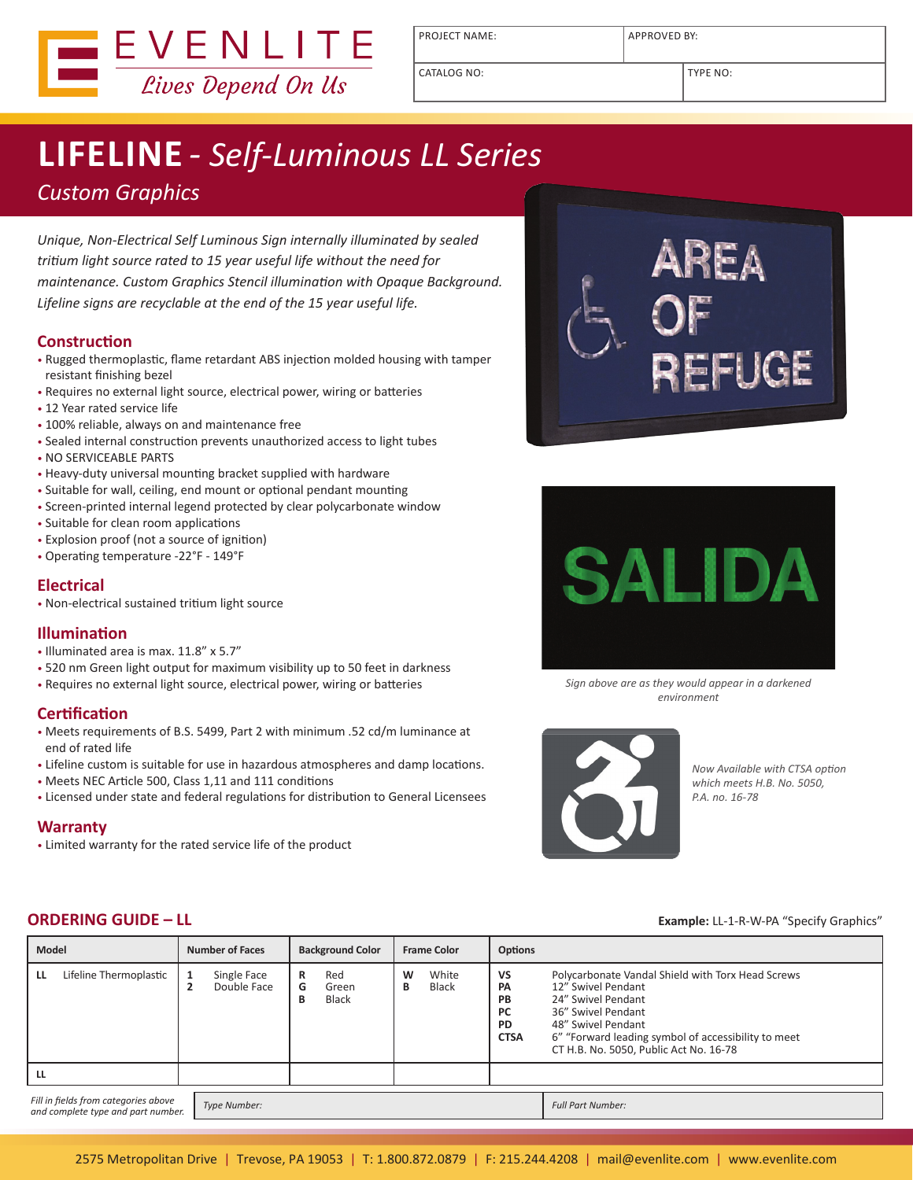

PROJECT NAME: <br> APPROVED BY:

# **LIFELINE** *- Self-Luminous LL Series*

## *Custom Graphics*

*Unique, Non-Electrical Self Luminous Sign internally illuminated by sealed tritium light source rated to 15 year useful life without the need for maintenance. Custom Graphics Stencil illumination with Opaque Background. Lifeline signs are recyclable at the end of the 15 year useful life.* 

#### **Construction**

- Rugged thermoplastic, flame retardant ABS injection molded housing with tamper resistant finishing bezel
- Requires no external light source, electrical power, wiring or batteries
- 12 Year rated service life
- 100% reliable, always on and maintenance free
- Sealed internal construction prevents unauthorized access to light tubes
- NO SERVICEABLE PARTS
- Heavy-duty universal mounting bracket supplied with hardware
- Suitable for wall, ceiling, end mount or optional pendant mounting
- Screen-printed internal legend protected by clear polycarbonate window
- Suitable for clean room applications
- Explosion proof (not a source of ignition)
- Operating temperature -22°F 149°F

### **Electrical**

• Non-electrical sustained tritium light source

#### **Illumination**

- Illuminated area is max. 11.8" x 5.7"
- 520 nm Green light output for maximum visibility up to 50 feet in darkness
- Requires no external light source, electrical power, wiring or batteries

#### **Certification**

- Meets requirements of B.S. 5499, Part 2 with minimum .52 cd/m luminance at end of rated life
- Lifeline custom is suitable for use in hazardous atmospheres and damp locations.
- Meets NEC Article 500, Class 1,11 and 111 conditions
- Licensed under state and federal regulations for distribution to General Licensees

#### **Warranty**

• Limited warranty for the rated service life of the product





*Sign above are as they would appear in a darkened environment*



*Now Available with CTSA option which meets H.B. No. 5050, P.A. no. 16-78*

#### **ORDERING GUIDE – LL Example:** LL-1-R-W-PA "Specify Graphics"

| <b>Model</b>                                                               | <b>Number of Faces</b>                                | <b>Background Color</b>              | <b>Frame Color</b>       | <b>Options</b>                                                        |                                                                                                                                                                                                                                            |
|----------------------------------------------------------------------------|-------------------------------------------------------|--------------------------------------|--------------------------|-----------------------------------------------------------------------|--------------------------------------------------------------------------------------------------------------------------------------------------------------------------------------------------------------------------------------------|
| Lifeline Thermoplastic<br>LL                                               | Single Face<br>Double Face<br>$\overline{\mathbf{2}}$ | Red<br>R<br>G<br>Green<br>Black<br>в | White<br>W<br>Black<br>В | VS<br><b>PA</b><br><b>PB</b><br><b>PC</b><br><b>PD</b><br><b>CTSA</b> | Polycarbonate Vandal Shield with Torx Head Screws<br>12" Swivel Pendant<br>24" Swivel Pendant<br>36" Swivel Pendant<br>48" Swivel Pendant<br>6" "Forward leading symbol of accessibility to meet<br>CT H.B. No. 5050, Public Act No. 16-78 |
| LL                                                                         |                                                       |                                      |                          |                                                                       |                                                                                                                                                                                                                                            |
| Fill in fields from categories above<br>and complete type and part number. | Type Number:                                          |                                      |                          |                                                                       | <b>Full Part Number:</b>                                                                                                                                                                                                                   |